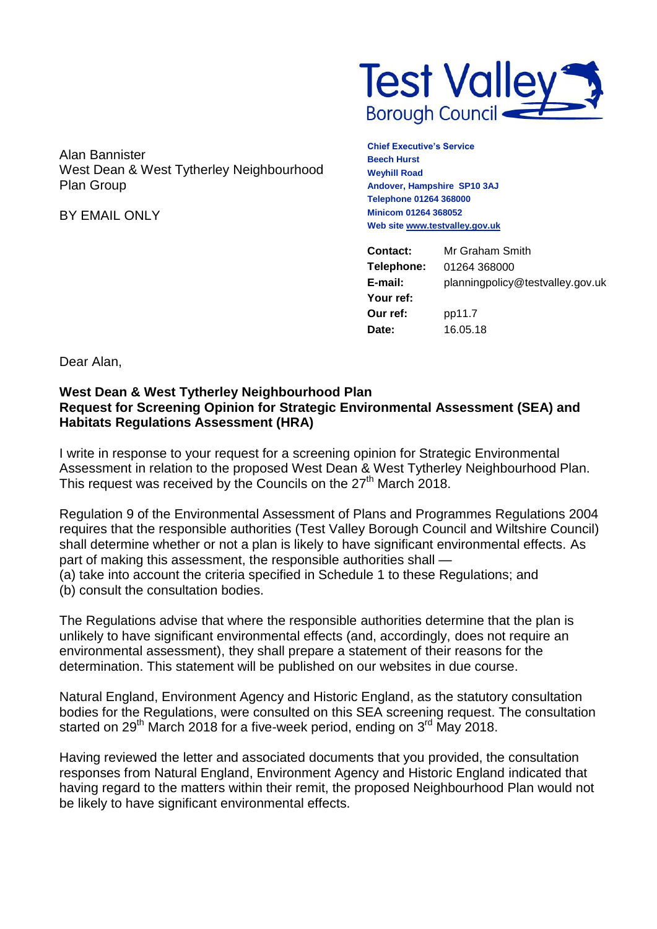

Alan Bannister West Dean & West Tytherley Neighbourhood Plan Group

BY EMAIL ONLY

**Chief Executive's Service Beech Hurst Weyhill Road Andover, Hampshire SP10 3AJ Telephone 01264 368000 Minicom 01264 368052 Web sit[e www.testvalley.gov.uk](http://www.testvalley.gov.uk/)**

| Contact:   | Mr Graham Smith                  |
|------------|----------------------------------|
| Telephone: | 01264 368000                     |
| E-mail:    | planningpolicy@testvalley.gov.uk |
| Your ref:  |                                  |
| Our ref:   | pp11.7                           |
| Date:      | 16.05.18                         |

Dear Alan,

## **West Dean & West Tytherley Neighbourhood Plan Request for Screening Opinion for Strategic Environmental Assessment (SEA) and Habitats Regulations Assessment (HRA)**

I write in response to your request for a screening opinion for Strategic Environmental Assessment in relation to the proposed West Dean & West Tytherley Neighbourhood Plan. This request was received by the Councils on the 27<sup>th</sup> March 2018.

Regulation 9 of the Environmental Assessment of Plans and Programmes Regulations 2004 requires that the responsible authorities (Test Valley Borough Council and Wiltshire Council) shall determine whether or not a plan is likely to have significant environmental effects. As part of making this assessment, the responsible authorities shall — (a) take into account the criteria specified in Schedule 1 to these Regulations; and (b) consult the consultation bodies.

The Regulations advise that where the responsible authorities determine that the plan is unlikely to have significant environmental effects (and, accordingly, does not require an environmental assessment), they shall prepare a statement of their reasons for the determination. This statement will be published on our websites in due course.

Natural England, Environment Agency and Historic England, as the statutory consultation bodies for the Regulations, were consulted on this SEA screening request. The consultation started on 29<sup>th</sup> March 2018 for a five-week period, ending on 3<sup>rd</sup> May 2018.

Having reviewed the letter and associated documents that you provided, the consultation responses from Natural England, Environment Agency and Historic England indicated that having regard to the matters within their remit, the proposed Neighbourhood Plan would not be likely to have significant environmental effects.